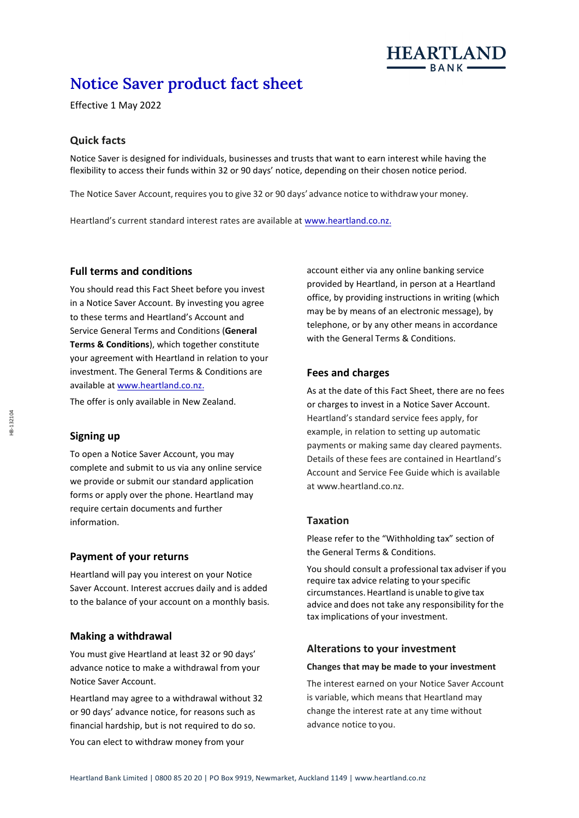

# **Notice Saver product fact sheet**

Effective 1 May 2022

## **Quick facts**

Notice Saver is designed for individuals, businesses and trusts that want to earn interest while having the flexibility to access their funds within 32 or 90 days' notice, depending on their chosen notice period.

The Notice Saver Account, requires you to give 32 or 90 days' advance notice to withdraw your money.

Heartland's current standard interest rates are available at www.heartland.co.nz.

## **Full terms and conditions**

You should read this Fact Sheet before you invest in a Notice Saver Account. By investing you agree to these terms and Heartland's Account and Service General Terms and Conditions (**General Terms & Conditions**), which together constitute your agreement with Heartland in relation to your investment. The General Terms & Conditions are available at [www.heartland.co.nz.](http://www.heartland.co.nz/)

The offer is only available in New Zealand.

#### **Signing up**

To open a Notice Saver Account, you may complete and submit to us via any online service we provide or submit our standard application forms or apply over the phone. Heartland may require certain documents and further information.

## **Payment of your returns**

Heartland will pay you interest on your Notice Saver Account. Interest accrues daily and is added to the balance of your account on a monthly basis.

#### **Making a withdrawal**

You must give Heartland at least 32 or 90 days' advance notice to make a withdrawal from your Notice Saver Account.

Heartland may agree to a withdrawal without 32 or 90 days' advance notice, for reasons such as financial hardship, but is not required to do so. You can elect to withdraw money from your

account either via any online banking service provided by Heartland, in person at a Heartland office, by providing instructions in writing (which may be by means of an electronic message), by telephone, or by any other means in accordance with the General Terms & Conditions.

#### **Fees and charges**

As at the date of this Fact Sheet, there are no fees or charges to invest in a Notice Saver Account. Heartland's standard service fees apply, for example, in relation to setting up automatic payments or making same day cleared payments. Details of these fees are contained in Heartland's Account and Service Fee Guide which is available at [www.heartland.co.nz.](http://www.heartland.co.nz/)

#### **Taxation**

Please refer to the "Withholding tax" section of the General Terms & Conditions.

You should consult a professional tax adviser if you require tax advice relating to your specific circumstances.Heartland is unable to give tax advice and does not take any responsibility for the tax implications of your investment.

#### **Alterations to your investment**

#### **Changes that may be made to your investment**

The interest earned on your Notice Saver Account is variable, which means that Heartland may change the interest rate at any time without advance notice to you.